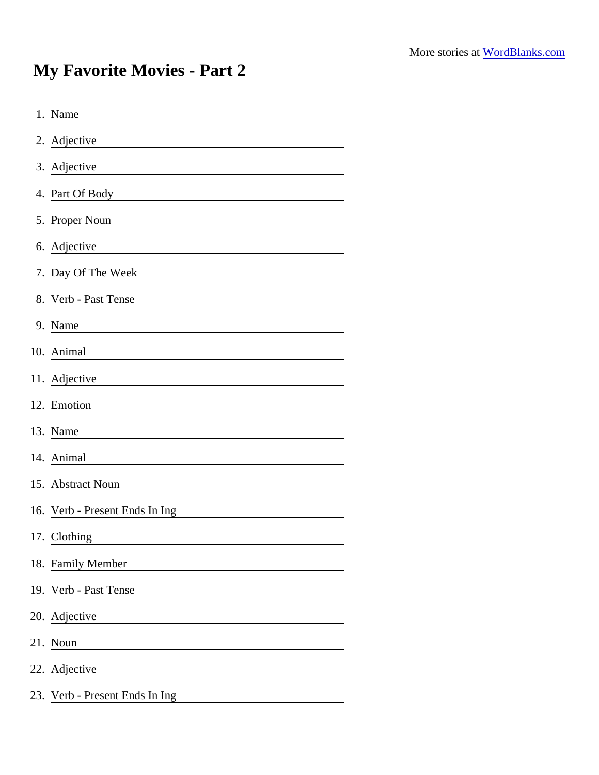## My Favorite Movies - Part 2

| 1. Name                                                                                                                                                                                                                                                   |
|-----------------------------------------------------------------------------------------------------------------------------------------------------------------------------------------------------------------------------------------------------------|
| 2. Adjective                                                                                                                                                                                                                                              |
| 3. Adjective                                                                                                                                                                                                                                              |
| 4. Part Of Body<br><u> 1980 - Johann Barn, mars ann an t-Amhain Aonaich an t-Aonaich an t-Aonaich ann an t-Aonaich ann an t-Aonaich</u>                                                                                                                   |
| 5. Proper Noun<br>the control of the control of the control of the control of the control of the control of the control of the control of the control of the control of the control of the control of the control of the control of the control           |
| 6. Adjective                                                                                                                                                                                                                                              |
| 7. Day Of The Week<br><u> 1980 - Johann Barbara, martxa alemaniar a</u>                                                                                                                                                                                   |
| 8. Verb - Past Tense                                                                                                                                                                                                                                      |
| 9. Name                                                                                                                                                                                                                                                   |
| 10. Animal                                                                                                                                                                                                                                                |
| 11. Adjective                                                                                                                                                                                                                                             |
| 12. Emotion                                                                                                                                                                                                                                               |
| 13. Name                                                                                                                                                                                                                                                  |
| 14. Animal<br><u> 1980 - Johann Barn, mars eta bainar eta baina eta baina eta baina eta baina eta baina eta baina eta baina e</u>                                                                                                                         |
| 15. Abstract Noun<br><u>and the community of the community of the community of the community of the community of the community of the community of the community of the community of the community of the community of the community of the community</u> |
| 16. Verb - Present Ends In Ing                                                                                                                                                                                                                            |
| 17. Clothing                                                                                                                                                                                                                                              |
| 18. Family Member                                                                                                                                                                                                                                         |
| 19. Verb - Past Tense                                                                                                                                                                                                                                     |
| 20. Adjective                                                                                                                                                                                                                                             |
| 21. Noun                                                                                                                                                                                                                                                  |
| 22. Adjective                                                                                                                                                                                                                                             |
| 23. Verb - Present Ends In Ing                                                                                                                                                                                                                            |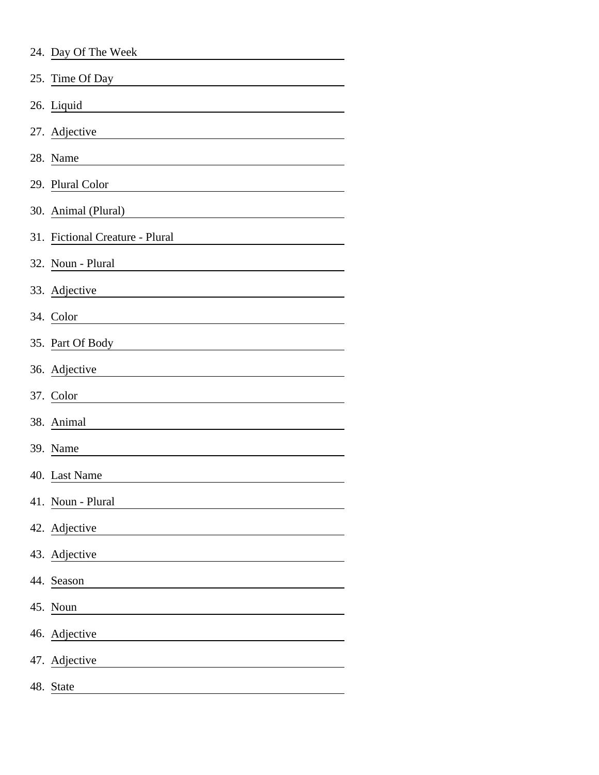| 24. Day Of The Week |  |
|---------------------|--|
|---------------------|--|

| 25. Time Of Day                                                                                                                                                                                                               |
|-------------------------------------------------------------------------------------------------------------------------------------------------------------------------------------------------------------------------------|
| 26. Liquid                                                                                                                                                                                                                    |
| 27. Adjective<br><u> 1980 - Johann Barnett, fransk politik (f. 1980)</u>                                                                                                                                                      |
| 28. Name<br><u> 1980 - Johann Barn, mars ann an t-Amhain Aonaich an t-Aonaich an t-Aonaich ann an t-Aonaich ann an t-Aonaich</u>                                                                                              |
| 29. Plural Color<br><u> 1980 - Johann Barnett, fransk politik (d. 1980)</u>                                                                                                                                                   |
| 30. Animal (Plural)<br><u> 1980 - Jan Stein Stein Stein Stein Stein Stein Stein Stein Stein Stein Stein Stein Stein Stein Stein Stein S</u>                                                                                   |
| 31. Fictional Creature - Plural                                                                                                                                                                                               |
| $32. \text{ Noun} - \text{Plural}$                                                                                                                                                                                            |
| 33. Adjective                                                                                                                                                                                                                 |
| 34. Color                                                                                                                                                                                                                     |
| 35. Part Of Body                                                                                                                                                                                                              |
| 36. Adjective and the same state of the state of the state of the state of the state of the state of the state of the state of the state of the state of the state of the state of the state of the state of the state of the |
| 37. Color                                                                                                                                                                                                                     |
| 38. Animal                                                                                                                                                                                                                    |
| 39. Name                                                                                                                                                                                                                      |
| 40. Last Name                                                                                                                                                                                                                 |
| 41. Noun - Plural                                                                                                                                                                                                             |
| 42. Adjective                                                                                                                                                                                                                 |
| 43. Adjective                                                                                                                                                                                                                 |
| 44. Season                                                                                                                                                                                                                    |
| 45. Noun                                                                                                                                                                                                                      |
| 46. Adjective                                                                                                                                                                                                                 |
| 47. Adjective<br>the contract of the contract of the contract of                                                                                                                                                              |
| 48. State                                                                                                                                                                                                                     |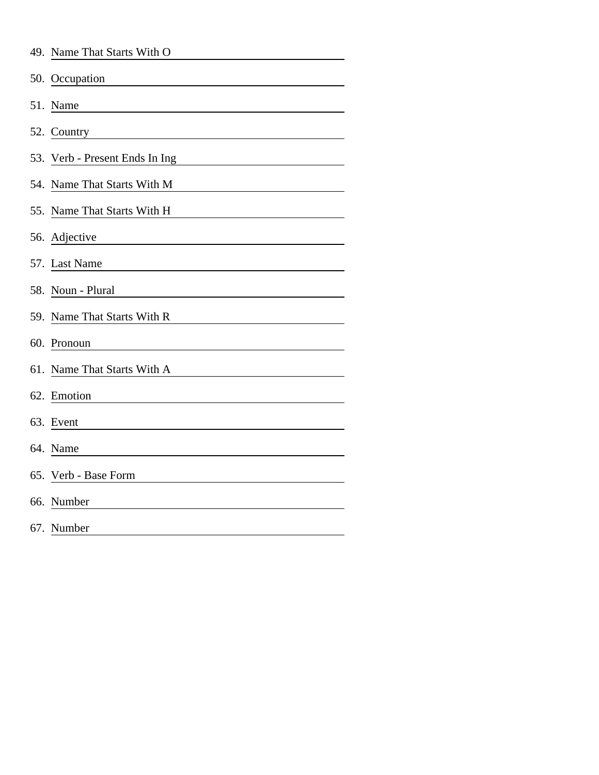|     | 49. Name That Starts With O                                                                                                                         |
|-----|-----------------------------------------------------------------------------------------------------------------------------------------------------|
|     | 50. Occupation                                                                                                                                      |
|     | 51. Name                                                                                                                                            |
|     | 52. Country                                                                                                                                         |
|     | 53. Verb - Present Ends In Ing<br><u> 1980 - Johann Barnett, fransk politiker (</u>                                                                 |
|     | 54. Name That Starts With M                                                                                                                         |
|     | 55. Name That Starts With H<br><u> 1980 - Johann Barbara, martxa a</u>                                                                              |
|     | 56. Adjective                                                                                                                                       |
|     | 57. Last Name                                                                                                                                       |
|     | 58. Noun - Plural                                                                                                                                   |
|     | 59. Name That Starts With R                                                                                                                         |
|     | 60. Pronoun<br><u> 1989 - Andrea Station Barbara (h. 19</u>                                                                                         |
|     | 61. Name That Starts With A<br><u> 1980 - Johann Barn, mars ann an t-Amhain Aonaich an t-Aonaich an t-Aonaich ann an t-Aonaich ann an t-Aonaich</u> |
| 62. | Emotion                                                                                                                                             |
| 63. | Event                                                                                                                                               |
|     | 64. Name<br><u> 1989 - Johann Stoff, deutscher Stoffen und der Stoffen und der Stoffen und der Stoffen und der Stoffen und der</u>                  |
| 65. | Verb - Base Form                                                                                                                                    |
| 66. | Number                                                                                                                                              |
|     | 67. Number                                                                                                                                          |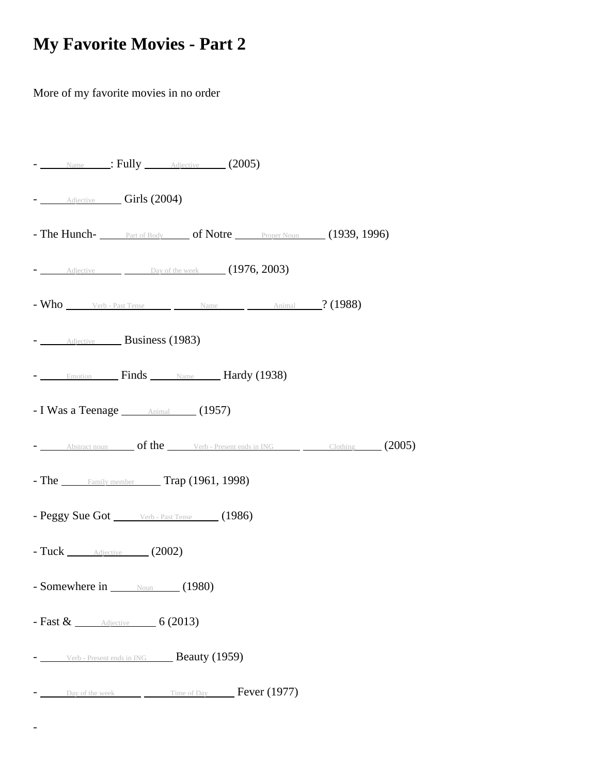## **My Favorite Movies - Part 2**

More of my favorite movies in no order

-

| - Name : Fully Adjective (2005)                                                   |  |
|-----------------------------------------------------------------------------------|--|
| - Adjective Girls (2004)                                                          |  |
|                                                                                   |  |
| - Adjective Day of the week (1976, 2003)                                          |  |
| $-$ Who  Verb - Past Tense $\qquad \qquad$ Name $\qquad \qquad$ Animal $?$ (1988) |  |
| - Adjective Business (1983)                                                       |  |
| - Emotion Finds Name Hardy (1938)                                                 |  |
| - I Was a Teenage <b>Animal</b> (1957)                                            |  |
| - Abstract noun of the Verb - Present ends in ING Clothing (2005)                 |  |
| - The Family member Trap (1961, 1998)                                             |  |
| - Peggy Sue Got Verb - Past Tense (1986)                                          |  |
| - Tuck <b>Adjective</b> (2002)                                                    |  |
| - Somewhere in $\qquad$ Noun (1980)                                               |  |
| - Fast $\&$ $\qquad$ Adjective 6 (2013)                                           |  |
| Verb - Present ends in ING <b>Beauty (1959)</b>                                   |  |
| $\sim$ Day of the week $\sim$ Time of Day Fever (1977)                            |  |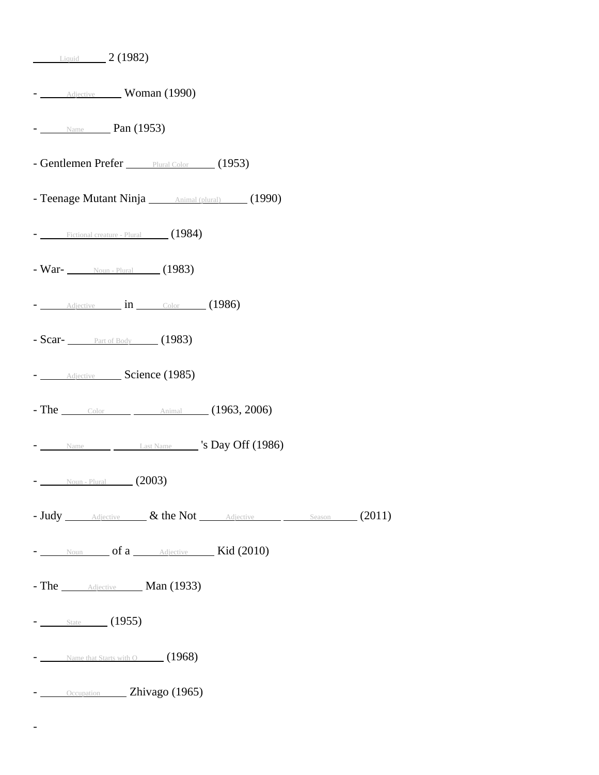| $ \frac{\text{Adjective}}{\text{Moman}}$ (1990)                                            |
|--------------------------------------------------------------------------------------------|
| $-$ Name Pan (1953)                                                                        |
| - Gentlemen Prefer Plural Color (1953)                                                     |
| - Teenage Mutant Ninja <i>____ Animal (plural)</i> (1990)                                  |
| $-$ Fictional creature - Plural $(1984)$                                                   |
| - War- Noun-Plural (1983)                                                                  |
| $ \frac{\text{Adjective}}{\text{Induction}}$ in $\frac{\text{Color}}{\text{Color}}$ (1986) |
| - Scar- $\frac{}{\sqrt{2}}$ Part of Body (1983)                                            |
| - Adjective Science (1985)                                                                 |
| - The $_{\text{Color}}$ $_{\text{Common}$ $\text{Animal}$ $(1963, 2006)$                   |
| $ \frac{1}{2}$ Name $\frac{1}{2}$ Last Name $\frac{1}{2}$ 's Day Off (1986)                |
| $-$ Noun - Plural (2003)                                                                   |
| - Judy Adjective & the Not Adjective Season (2011)                                         |
| - Noun of a Adjective Kid (2010)                                                           |
| - The <u>Adjective</u> Man (1933)                                                          |
| $-$ State (1955)                                                                           |
| $\sim$ Name that Starts with O (1968)                                                      |
| - Occupation Zhivago (1965)                                                                |

-